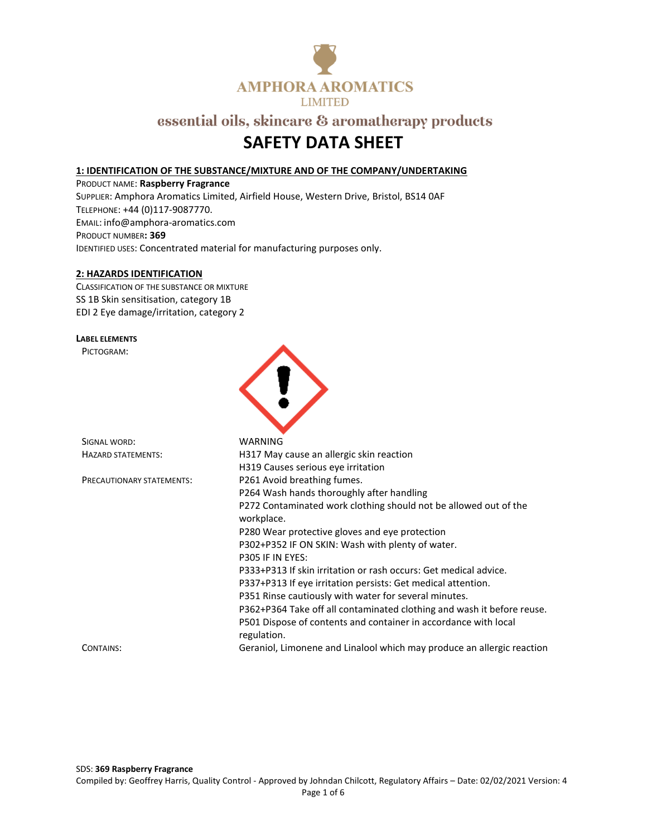

## **SAFETY DATA SHEET**

### **1: IDENTIFICATION OF THE SUBSTANCE/MIXTURE AND OF THE COMPANY/UNDERTAKING**

PRODUCT NAME: **Raspberry Fragrance** SUPPLIER: Amphora Aromatics Limited, Airfield House, Western Drive, Bristol, BS14 0AF TELEPHONE: +44 (0)117-9087770. EMAIL: info@amphora-aromatics.com PRODUCT NUMBER**: 369** IDENTIFIED USES: Concentrated material for manufacturing purposes only.

### **2: HAZARDS IDENTIFICATION**

CLASSIFICATION OF THE SUBSTANCE OR MIXTURE SS 1B Skin sensitisation, category 1B EDI 2 Eye damage/irritation, category 2

### **LABEL ELEMENTS**

PICTOGRAM:



| SIGNAL WORD:              | WARNING                                                                        |
|---------------------------|--------------------------------------------------------------------------------|
| HAZARD STATEMENTS:        | H317 May cause an allergic skin reaction                                       |
|                           | H319 Causes serious eye irritation                                             |
| PRECAUTIONARY STATEMENTS: | P261 Avoid breathing fumes.                                                    |
|                           | P264 Wash hands thoroughly after handling                                      |
|                           | P272 Contaminated work clothing should not be allowed out of the<br>workplace. |
|                           | P280 Wear protective gloves and eye protection                                 |
|                           | P302+P352 IF ON SKIN: Wash with plenty of water.<br>P305 IF IN EYES:           |
|                           | P333+P313 If skin irritation or rash occurs: Get medical advice.               |
|                           | P337+P313 If eye irritation persists: Get medical attention.                   |
|                           | P351 Rinse cautiously with water for several minutes.                          |
|                           | P362+P364 Take off all contaminated clothing and wash it before reuse.         |
|                           | P501 Dispose of contents and container in accordance with local<br>regulation. |
| CONTAINS:                 | Geraniol, Limonene and Linalool which may produce an allergic reaction         |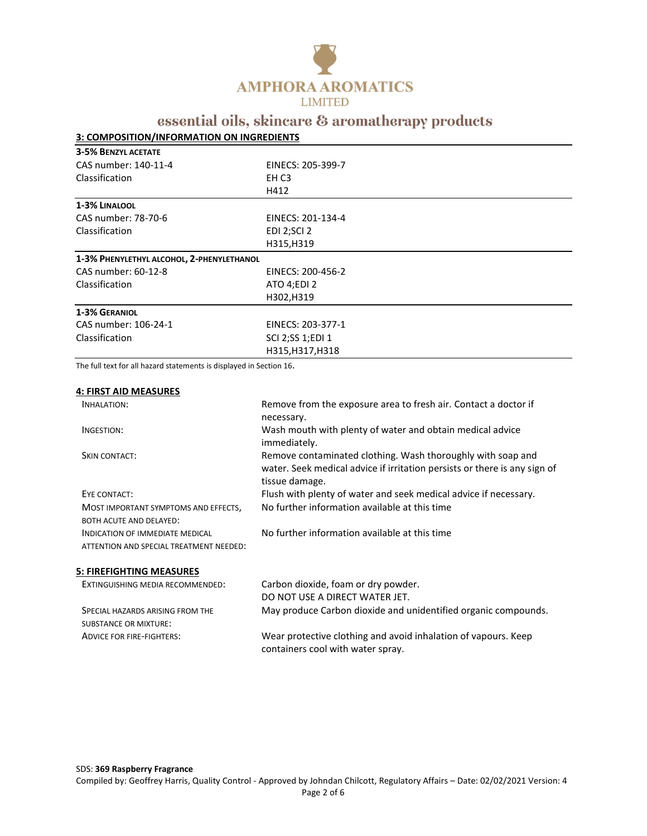

### **3: COMPOSITION/INFORMATION ON INGREDIENTS**

| <b>3-5% BENZYL ACETATE</b>                |                    |
|-------------------------------------------|--------------------|
| CAS number: 140-11-4                      | EINECS: 205-399-7  |
| Classification                            | EH C3              |
|                                           | H412               |
| 1-3% LINALOOL                             |                    |
| CAS number: 78-70-6                       | EINECS: 201-134-4  |
| Classification                            | <b>EDI 2;SCI 2</b> |
|                                           | H315, H319         |
| 1-3% PHENYLETHYL ALCOHOL, 2-PHENYLETHANOL |                    |
| CAS number: 60-12-8                       | EINECS: 200-456-2  |
| Classification                            | ATO 4;EDI 2        |
|                                           | H302, H319         |
| <b>1-3% GERANIOL</b>                      |                    |
| CAS number: 106-24-1                      | EINECS: 203-377-1  |
| Classification                            | SCI 2;SS 1;EDI 1   |
|                                           | H315, H317, H318   |

The full text for all hazard statements is displayed in Section 16.

### **4: FIRST AID MEASURES**

| INHALATION:                             | Remove from the exposure area to fresh air. Contact a doctor if           |
|-----------------------------------------|---------------------------------------------------------------------------|
|                                         | necessary.                                                                |
| INGESTION:                              | Wash mouth with plenty of water and obtain medical advice                 |
|                                         | immediately.                                                              |
| SKIN CONTACT:                           | Remove contaminated clothing. Wash thoroughly with soap and               |
|                                         | water. Seek medical advice if irritation persists or there is any sign of |
|                                         | tissue damage.                                                            |
| EYE CONTACT:                            | Flush with plenty of water and seek medical advice if necessary.          |
| MOST IMPORTANT SYMPTOMS AND EFFECTS,    | No further information available at this time                             |
| <b>BOTH ACUTE AND DELAYED:</b>          |                                                                           |
| <b>INDICATION OF IMMEDIATE MEDICAL</b>  | No further information available at this time                             |
| ATTENTION AND SPECIAL TREATMENT NEEDED: |                                                                           |
|                                         |                                                                           |
| 5: FIREFIGHTING MEASURES                |                                                                           |

| EXTINGUISHING MEDIA RECOMMENDED: | Carbon dioxide, foam or dry powder.                                                                 |
|----------------------------------|-----------------------------------------------------------------------------------------------------|
|                                  | DO NOT USE A DIRECT WATER JET.                                                                      |
| SPECIAL HAZARDS ARISING FROM THE | May produce Carbon dioxide and unidentified organic compounds.                                      |
| <b>SUBSTANCE OR MIXTURE:</b>     |                                                                                                     |
| <b>ADVICE FOR FIRE-FIGHTERS:</b> | Wear protective clothing and avoid inhalation of vapours. Keep<br>containers cool with water spray. |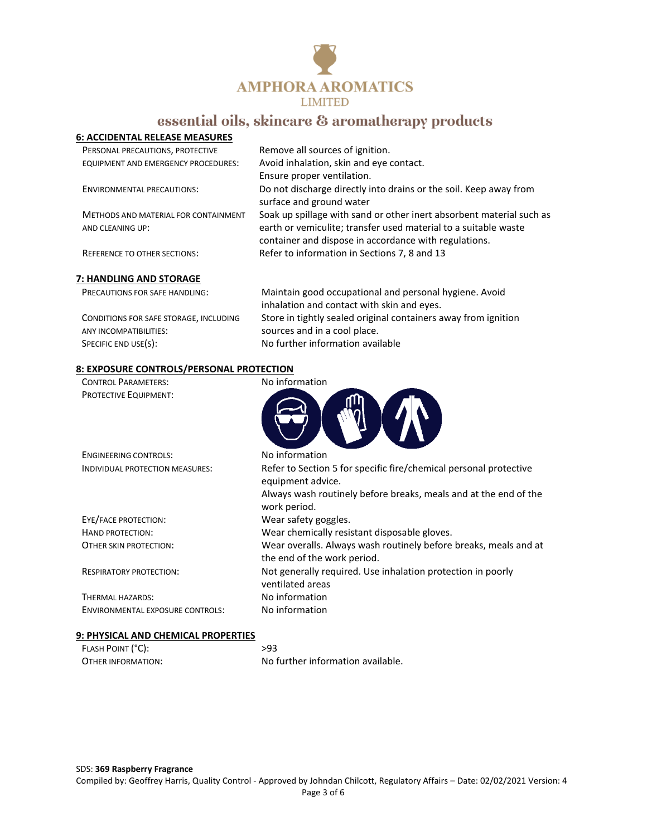

### **6: ACCIDENTAL RELEASE MEASURES**

| PERSONAL PRECAUTIONS, PROTECTIVE     | Remove all sources of ignition.                                      |
|--------------------------------------|----------------------------------------------------------------------|
| EQUIPMENT AND EMERGENCY PROCEDURES:  | Avoid inhalation, skin and eye contact.                              |
|                                      | Ensure proper ventilation.                                           |
| <b>ENVIRONMENTAL PRECAUTIONS:</b>    | Do not discharge directly into drains or the soil. Keep away from    |
|                                      | surface and ground water                                             |
| METHODS AND MATERIAL FOR CONTAINMENT | Soak up spillage with sand or other inert absorbent material such as |
| AND CLEANING UP:                     | earth or vemiculite; transfer used material to a suitable waste      |
|                                      | container and dispose in accordance with regulations.                |
| <b>REFERENCE TO OTHER SECTIONS:</b>  | Refer to information in Sections 7, 8 and 13                         |
|                                      |                                                                      |
| 7: HANDLING AND STORAGE              |                                                                      |

| <b>PRECAUTIONS FOR SAFE HANDLING:</b>  | Maintain good occupational and personal hygiene. Avoid         |
|----------------------------------------|----------------------------------------------------------------|
|                                        | inhalation and contact with skin and eyes.                     |
| CONDITIONS FOR SAFE STORAGE, INCLUDING | Store in tightly sealed original containers away from ignition |
| ANY INCOMPATIBILITIES:                 | sources and in a cool place.                                   |
| SPECIFIC END USE(S):                   | No further information available                               |

### **8: EXPOSURE CONTROLS/PERSONAL PROTECTION**

| <b>CONTROL PARAMETERS:</b>              | No information                                                                                  |
|-----------------------------------------|-------------------------------------------------------------------------------------------------|
| PROTECTIVE EQUIPMENT:                   |                                                                                                 |
| <b>ENGINEERING CONTROLS:</b>            | No information                                                                                  |
| INDIVIDUAL PROTECTION MEASURES:         | Refer to Section 5 for specific fire/chemical personal protective<br>equipment advice.          |
|                                         | Always wash routinely before breaks, meals and at the end of the<br>work period.                |
| EYE/FACE PROTECTION:                    | Wear safety goggles.                                                                            |
| HAND PROTECTION:                        | Wear chemically resistant disposable gloves.                                                    |
| OTHER SKIN PROTECTION:                  | Wear overalls. Always wash routinely before breaks, meals and at<br>the end of the work period. |
| <b>RESPIRATORY PROTECTION:</b>          | Not generally required. Use inhalation protection in poorly<br>ventilated areas                 |
| THERMAL HAZARDS:                        | No information                                                                                  |
| <b>ENVIRONMENTAL EXPOSURE CONTROLS:</b> | No information                                                                                  |

### **9: PHYSICAL AND CHEMICAL PROPERTIES**

| FLASH POINT (°C):  | >93                               |
|--------------------|-----------------------------------|
| OTHER INFORMATION: | No further information available. |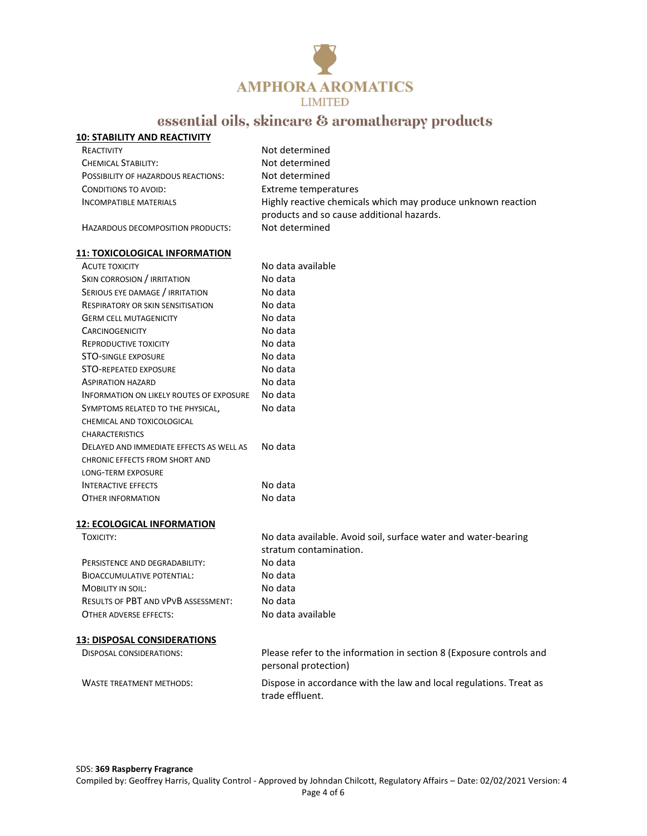

| <b>10: STABILITY AND REACTIVITY</b> |                                                              |
|-------------------------------------|--------------------------------------------------------------|
| REACTIVITY                          | Not determined                                               |
| <b>CHEMICAL STABILITY:</b>          | Not determined                                               |
| POSSIBILITY OF HAZARDOUS REACTIONS: | Not determined                                               |
| CONDITIONS TO AVOID:                | Extreme temperatures                                         |
| <b>INCOMPATIBLE MATERIALS</b>       | Highly reactive chemicals which may produce unknown reaction |
|                                     | products and so cause additional hazards.                    |
| HAZARDOUS DECOMPOSITION PRODUCTS:   | Not determined                                               |
|                                     |                                                              |

### **11: TOXICOLOGICAL INFORMATION**

| <b>ACUTE TOXICITY</b>                    | No data available |
|------------------------------------------|-------------------|
| SKIN CORROSION / IRRITATION              | No data           |
| SERIOUS EYE DAMAGE / IRRITATION          | No data           |
| RESPIRATORY OR SKIN SENSITISATION        | No data           |
| <b>GERM CELL MUTAGENICITY</b>            | No data           |
| <b>CARCINOGENICITY</b>                   | No data           |
| REPRODUCTIVE TOXICITY                    | No data           |
| <b>STO-SINGLE EXPOSURE</b>               | No data           |
| <b>STO-REPEATED EXPOSURE</b>             | No data           |
| <b>ASPIRATION HAZARD</b>                 | No data           |
| INFORMATION ON LIKELY ROUTES OF EXPOSURE | No data           |
| SYMPTOMS RELATED TO THE PHYSICAL,        | No data           |
| CHEMICAL AND TOXICOLOGICAL               |                   |
| <b>CHARACTERISTICS</b>                   |                   |
| DELAYED AND IMMEDIATE EFFECTS AS WELL AS | No data           |
| CHRONIC EFFECTS FROM SHORT AND           |                   |
| LONG-TERM EXPOSURE                       |                   |
| <b>INTERACTIVE EFFECTS</b>               | No data           |
| OTHER INFORMATION                        | No data           |
|                                          |                   |

### **12: ECOLOGICAL INFORMATION**

| TOXICITY:                                  | No data available. Avoid soil, surface water and water-bearing<br>stratum contamination.    |
|--------------------------------------------|---------------------------------------------------------------------------------------------|
| PERSISTENCE AND DEGRADABILITY:             | No data                                                                                     |
| <b>BIOACCUMULATIVE POTENTIAL:</b>          | No data                                                                                     |
| <b>MOBILITY IN SOIL:</b>                   | No data                                                                                     |
| <b>RESULTS OF PBT AND VPVB ASSESSMENT:</b> | No data                                                                                     |
| OTHER ADVERSE EFFECTS:                     | No data available                                                                           |
| <b>13: DISPOSAL CONSIDERATIONS</b>         |                                                                                             |
| <b>DISPOSAL CONSIDERATIONS:</b>            | Please refer to the information in section 8 (Exposure controls and<br>personal protection) |
| <b>WASTE TREATMENT METHODS:</b>            | Dispose in accordance with the law and local regulations. Treat as<br>trade effluent.       |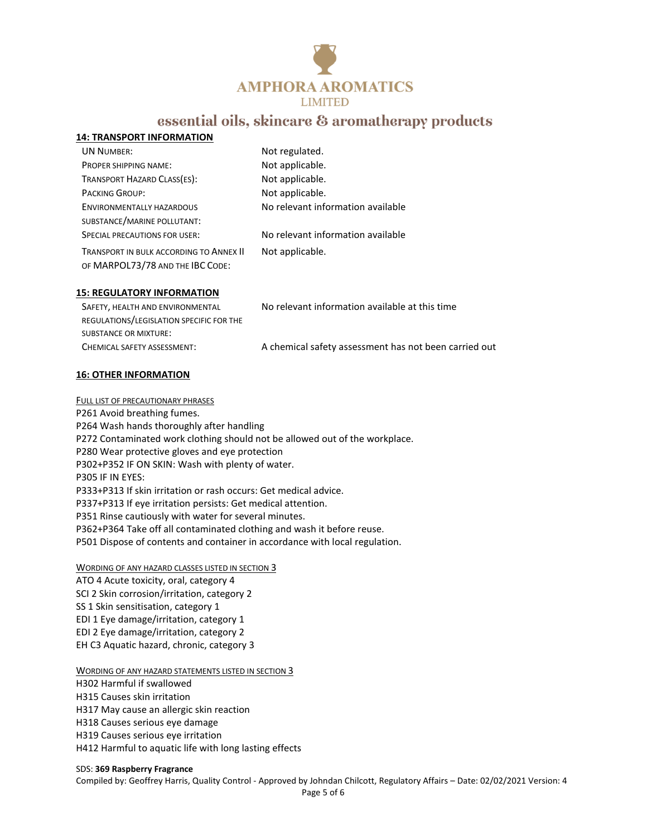

|--|

| <b>UN NUMBER:</b>                                                           | Not regulated.                    |
|-----------------------------------------------------------------------------|-----------------------------------|
| PROPER SHIPPING NAME:                                                       | Not applicable.                   |
| TRANSPORT HAZARD CLASS(ES):                                                 | Not applicable.                   |
| <b>PACKING GROUP:</b>                                                       | Not applicable.                   |
| <b>ENVIRONMENTALLY HAZARDOUS</b>                                            | No relevant information available |
| SUBSTANCE/MARINE POLLUTANT:                                                 |                                   |
| <b>SPECIAL PRECAUTIONS FOR USER:</b>                                        | No relevant information available |
| TRANSPORT IN BULK ACCORDING TO ANNEX II<br>OF MARPOL73/78 AND THE IBC CODE: | Not applicable.                   |

#### **15: REGULATORY INFORMATION**

| SAFETY, HEALTH AND ENVIRONMENTAL         | No relevant information available at this time        |
|------------------------------------------|-------------------------------------------------------|
| REGULATIONS/LEGISLATION SPECIFIC FOR THE |                                                       |
| <b>SUBSTANCE OR MIXTURE:</b>             |                                                       |
| CHEMICAL SAFETY ASSESSMENT:              | A chemical safety assessment has not been carried out |

### **16: OTHER INFORMATION**

FULL LIST OF PRECAUTIONARY PHRASES P261 Avoid breathing fumes. P264 Wash hands thoroughly after handling P272 Contaminated work clothing should not be allowed out of the workplace. P280 Wear protective gloves and eye protection P302+P352 IF ON SKIN: Wash with plenty of water. P305 IF IN EYES: P333+P313 If skin irritation or rash occurs: Get medical advice. P337+P313 If eye irritation persists: Get medical attention. P351 Rinse cautiously with water for several minutes. P362+P364 Take off all contaminated clothing and wash it before reuse. P501 Dispose of contents and container in accordance with local regulation.

#### WORDING OF ANY HAZARD CLASSES LISTED IN SECTION 3

ATO 4 Acute toxicity, oral, category 4 SCI 2 Skin corrosion/irritation, category 2 SS 1 Skin sensitisation, category 1 EDI 1 Eye damage/irritation, category 1 EDI 2 Eye damage/irritation, category 2 EH C3 Aquatic hazard, chronic, category 3

#### WORDING OF ANY HAZARD STATEMENTS LISTED IN SECTION 3

- H302 Harmful if swallowed
- H315 Causes skin irritation
- H317 May cause an allergic skin reaction
- H318 Causes serious eye damage
- H319 Causes serious eye irritation
- H412 Harmful to aquatic life with long lasting effects

### SDS: **369 Raspberry Fragrance**

Compiled by: Geoffrey Harris, Quality Control - Approved by Johndan Chilcott, Regulatory Affairs – Date: 02/02/2021 Version: 4